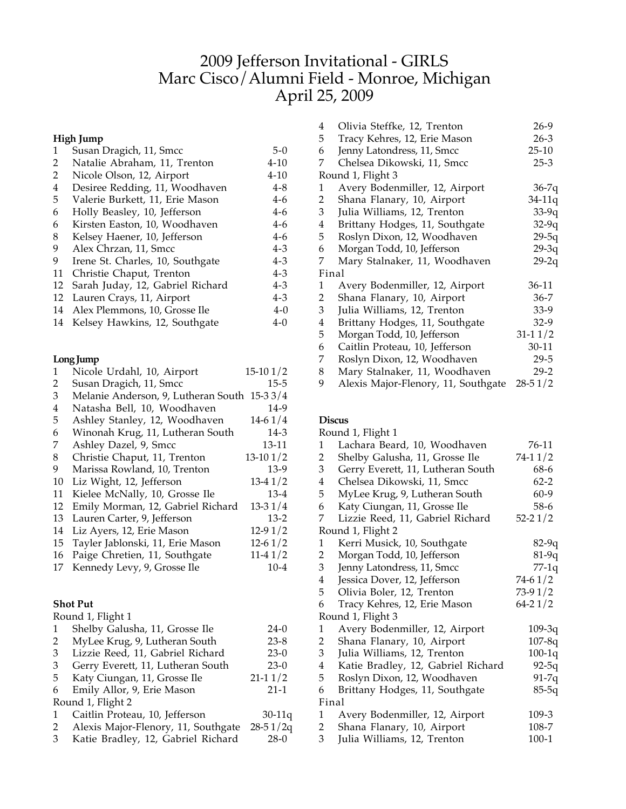# 2009 Jefferson Invitational - GIRLS Marc Cisco/Alumni Field - Monroe, Michigan April 25, 2009

## **High Jump**

| 1  | Susan Dragich, 11, Smcc          | $5-0$    |
|----|----------------------------------|----------|
| 2  | Natalie Abraham, 11, Trenton     | $4 - 10$ |
| 2  | Nicole Olson, 12, Airport        | $4 - 10$ |
| 4  | Desiree Redding, 11, Woodhaven   | $4 - 8$  |
| 5  | Valerie Burkett, 11, Erie Mason  | 4-6      |
| 6  | Holly Beasley, 10, Jefferson     | 4-6      |
| 6  | Kirsten Easton, 10, Woodhaven    | $4-6$    |
| 8  | Kelsey Haener, 10, Jefferson     | $4 - 6$  |
| 9  | Alex Chrzan, 11, Smcc            | $4 - 3$  |
| 9  | Irene St. Charles, 10, Southgate | $4 - 3$  |
| 11 | Christie Chaput, Trenton         | $4 - 3$  |
| 12 | Sarah Juday, 12, Gabriel Richard | $4 - 3$  |
| 12 | Lauren Crays, 11, Airport        | $4 - 3$  |
|    | 14 Alex Plemmons, 10, Grosse Ile | $4-0$    |
| 14 | Kelsey Hawkins, 12, Southgate    | $4 - 0$  |
|    |                                  |          |

### **Long Jump**

| 1  | Nicole Urdahl, 10, Airport          | $15-101/2$  |
|----|-------------------------------------|-------------|
| 2  | Susan Dragich, 11, Smcc             | 15-5        |
| 3  | Melanie Anderson, 9, Lutheran South | $15 - 33/4$ |
| 4  | Natasha Bell, 10, Woodhaven         | 14-9        |
| 5  | Ashley Stanley, 12, Woodhaven       | $14-61/4$   |
| 6  | Winonah Krug, 11, Lutheran South    | $14-3$      |
| 7  | Ashley Dazel, 9, Smcc               | 13-11       |
| 8  | Christie Chaput, 11, Trenton        | $13-101/2$  |
| 9  | Marissa Rowland, 10, Trenton        | $13-9$      |
| 10 | Liz Wight, 12, Jefferson            | $13-41/2$   |
| 11 | Kielee McNally, 10, Grosse Ile      | $13-4$      |
| 12 | Emily Morman, 12, Gabriel Richard   | $13-31/4$   |
| 13 | Lauren Carter, 9, Jefferson         | $13-2$      |
| 14 | Liz Ayers, 12, Erie Mason           | $12-91/2$   |
| 15 | Tayler Jablonski, 11, Erie Mason    | $12-61/2$   |
| 16 | Paige Chretien, 11, Southgate       | $11-41/2$   |
| 17 | Kennedy Levy, 9, Grosse Ile         | $10 - 4$    |
|    |                                     |             |

### **Shot Put**

|   | Round 1, Flight 1                   |            |
|---|-------------------------------------|------------|
| 1 | Shelby Galusha, 11, Grosse Ile      | $24-0$     |
| 2 | MyLee Krug, 9, Lutheran South       | $23 - 8$   |
| 3 | Lizzie Reed, 11, Gabriel Richard    | $23-0$     |
| 3 | Gerry Everett, 11, Lutheran South   | $23-0$     |
| 5 | Katy Ciungan, 11, Grosse Ile        | $21-11/2$  |
| 6 | Emily Allor, 9, Erie Mason          | $21 - 1$   |
|   | Round 1, Flight 2                   |            |
| 1 | Caitlin Proteau, 10, Jefferson      | $30-11q$   |
| 2 | Alexis Major-Flenory, 11, Southgate | $28-51/2q$ |
| 3 | Katie Bradley, 12, Gabriel Richard  | $28-0$     |
|   |                                     |            |

| 4     | Olivia Steffke, 12, Trenton         | 26-9        |
|-------|-------------------------------------|-------------|
| 5     | Tracy Kehres, 12, Erie Mason        | $26 - 3$    |
| 6     | Jenny Latondress, 11, Smcc          | $25 - 10$   |
| 7     | Chelsea Dikowski, 11, Smcc          | $25-3$      |
|       | Round 1, Flight 3                   |             |
| 1     | Avery Bodenmiller, 12, Airport      | $36-7q$     |
| 2     | Shana Flanary, 10, Airport          | 34-11q      |
| 3     | Julia Williams, 12, Trenton         | $33-9q$     |
| 4     | Brittany Hodges, 11, Southgate      | $32-9q$     |
| 5     | Roslyn Dixon, 12, Woodhaven         | $29-5q$     |
| 6     | Morgan Todd, 10, Jefferson          | $29-3q$     |
| 7     | Mary Stalnaker, 11, Woodhaven       | $29-2q$     |
| Final |                                     |             |
| 1     | Avery Bodenmiller, 12, Airport      | 36-11       |
| 2     | Shana Flanary, 10, Airport          | $36 - 7$    |
| 3     | Julia Williams, 12, Trenton         | 33-9        |
| 4     | Brittany Hodges, 11, Southgate      | $32-9$      |
| 5     | Morgan Todd, 10, Jefferson          | $31-11/2$   |
| 6     | Caitlin Proteau, 10, Jefferson      | $30 - 11$   |
| 7     | Roslyn Dixon, 12, Woodhaven         | $29 - 5$    |
| 8     | Mary Stalnaker, 11, Woodhaven       | $29-2$      |
| 9     | Alexis Major-Flenory, 11, Southgate | $28 - 51/2$ |

### **Discus**

|                | Round 1, Flight 1                  |             |
|----------------|------------------------------------|-------------|
| 1              | Lachara Beard, 10, Woodhaven       | 76-11       |
| $\overline{2}$ | Shelby Galusha, 11, Grosse Ile     | $74-11/2$   |
| 3              | Gerry Everett, 11, Lutheran South  | 68-6        |
| $\overline{4}$ | Chelsea Dikowski, 11, Smcc         | $62 - 2$    |
| 5              | MyLee Krug, 9, Lutheran South      | $60-9$      |
| 6              | Katy Ciungan, 11, Grosse Ile       | 58-6        |
| 7              | Lizzie Reed, 11, Gabriel Richard   | $52 - 21/2$ |
|                | Round 1, Flight 2                  |             |
| 1              | Kerri Musick, 10, Southgate        | $82-9q$     |
| $\overline{2}$ | Morgan Todd, 10, Jefferson         | $81-9q$     |
| 3              | Jenny Latondress, 11, Smcc         | $77-1q$     |
| $\overline{4}$ | Jessica Dover, 12, Jefferson       | 74-61/2     |
| 5              | Olivia Boler, 12, Trenton          | 73-91/2     |
| 6              | Tracy Kehres, 12, Erie Mason       | $64 - 21/2$ |
|                | Round 1, Flight 3                  |             |
| 1              | Avery Bodenmiller, 12, Airport     | $109 - 3q$  |
| 2              | Shana Flanary, 10, Airport         | $107 - 8q$  |
| 3 <sup>7</sup> | Julia Williams, 12, Trenton        | $100 - 1q$  |
| $\overline{4}$ | Katie Bradley, 12, Gabriel Richard | $92 - 5q$   |
| 5              | Roslyn Dixon, 12, Woodhaven        | 91-7q       |
| 6              | Brittany Hodges, 11, Southgate     | $85-5q$     |
|                | Final                              |             |
| 1              | Avery Bodenmiller, 12, Airport     | 109-3       |
| 2              | Shana Flanary, 10, Airport         | 108-7       |
| 3              | Julia Williams, 12, Trenton        | $100-1$     |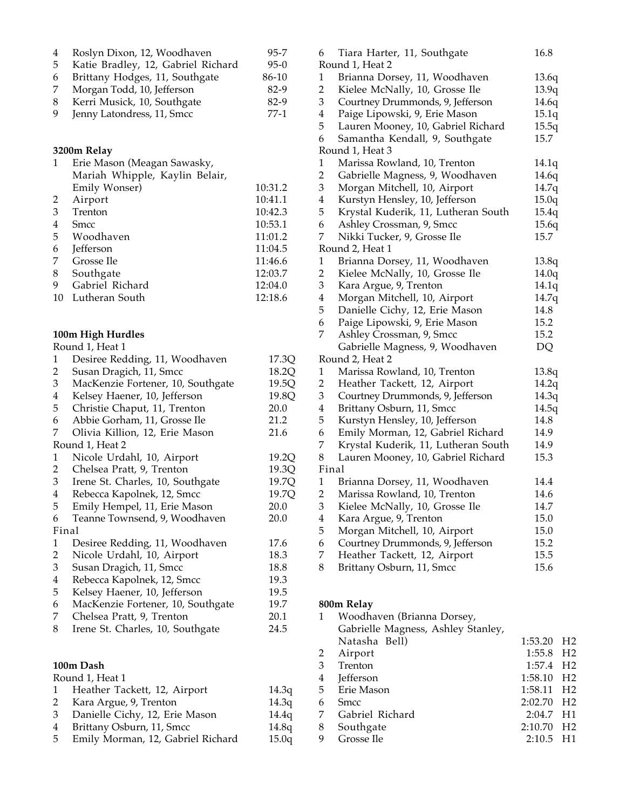| 4 | Roslyn Dixon, 12, Woodhaven        | $95 - 7$ |
|---|------------------------------------|----------|
| 5 | Katie Bradley, 12, Gabriel Richard | $95-0$   |
| 6 | Brittany Hodges, 11, Southgate     | 86-10    |
| 7 | Morgan Todd, 10, Jefferson         | 82-9     |
| 8 | Kerri Musick, 10, Southgate        | 82-9     |
| 9 | Jenny Latondress, 11, Smcc         | $77-1$   |

### **3200m Relay**

| 1              | Erie Mason (Meagan Sawasky,    |         |
|----------------|--------------------------------|---------|
|                | Mariah Whipple, Kaylin Belair, |         |
|                | Emily Wonser)                  | 10:31.2 |
| 2              | Airport                        | 10:41.1 |
| 3              | Trenton                        | 10:42.3 |
| $\overline{4}$ | Smcc                           | 10:53.1 |
| 5              | Woodhaven                      | 11:01.2 |
| 6              | Jefferson                      | 11:04.5 |
| 7              | Grosse Ile                     | 11:46.6 |
| 8              | Southgate                      | 12:03.7 |
| 9              | Gabriel Richard                | 12:04.0 |
| 10             | Lutheran South                 | 12:18.6 |

#### **100m High Hurdles**

Round 1, Heat 1

| $\mathbf{1}$            | Desiree Redding, 11, Woodhaven    | 17.3Q        |
|-------------------------|-----------------------------------|--------------|
| 2                       | Susan Dragich, 11, Smcc           | 18.2Q        |
| 3                       | MacKenzie Fortener, 10, Southgate | 19.5Q        |
| 4                       | Kelsey Haener, 10, Jefferson      | 19.8Q        |
| 5                       | Christie Chaput, 11, Trenton      | 20.0         |
| 6                       | Abbie Gorham, 11, Grosse Ile      | 21.2         |
| 7                       | Olivia Killion, 12, Erie Mason    | 21.6         |
|                         | Round 1, Heat 2                   |              |
| 1                       | Nicole Urdahl, 10, Airport        | 19.2Q        |
| 2                       | Chelsea Pratt, 9, Trenton         | 19.3Q        |
| 3                       | Irene St. Charles, 10, Southgate  | 19.7Q        |
| $\overline{\mathbf{4}}$ | Rebecca Kapolnek, 12, Smcc        | 19.7Q        |
| 5                       | Emily Hempel, 11, Erie Mason      | 20.0         |
| 6                       | Teanne Townsend, 9, Woodhaven     | 20.0         |
|                         | Final                             |              |
| 1                       | Desiree Redding, 11, Woodhaven    | 17.6         |
| $\overline{2}$          | Nicole Urdahl, 10, Airport        | 18.3         |
| 3                       | Susan Dragich, 11, Smcc           | 18.8         |
| $\overline{\mathbf{4}}$ | Rebecca Kapolnek, 12, Smcc        | 19.3         |
| 5                       | Kelsey Haener, 10, Jefferson      | 19.5         |
| 6                       | MacKenzie Fortener, 10, Southgate | 19.7         |
| 7                       | Chelsea Pratt, 9, Trenton         | 20.1         |
| 8                       | Irene St. Charles, 10, Southgate  | 24.5         |
|                         |                                   |              |
|                         | 100m Dash                         |              |
|                         | Round 1, Heat 1                   |              |
|                         | 1 Heather Tackett 12 Airnort      | $14.3\sigma$ |

| 1 Heather Tackett, 12, Airport      | 14.3q |
|-------------------------------------|-------|
| 2 Kara Argue, 9, Trenton            | 14.3q |
| 3 Danielle Cichy, 12, Erie Mason    | 14.4q |
| 4 Brittany Osburn, 11, Smcc         | 14.8q |
| 5 Emily Morman, 12, Gabriel Richard | 15.0q |
|                                     |       |

| 6                       | Tiara Harter, 11, Southgate         | 16.8  |
|-------------------------|-------------------------------------|-------|
|                         | Round 1, Heat 2                     |       |
| 1                       | Brianna Dorsey, 11, Woodhaven       | 13.6q |
| $\overline{2}$          | Kielee McNally, 10, Grosse Ile      | 13.9q |
| 3                       | Courtney Drummonds, 9, Jefferson    | 14.6q |
| $\overline{\mathbf{4}}$ | Paige Lipowski, 9, Erie Mason       | 15.1q |
| 5                       | Lauren Mooney, 10, Gabriel Richard  | 15.5q |
| 6                       | Samantha Kendall, 9, Southgate      | 15.7  |
|                         | Round 1, Heat 3                     |       |
| $\mathbf{1}$            | Marissa Rowland, 10, Trenton        | 14.1q |
| $\overline{c}$          | Gabrielle Magness, 9, Woodhaven     | 14.6q |
| 3                       | Morgan Mitchell, 10, Airport        | 14.7q |
| $\overline{\mathbf{4}}$ | Kurstyn Hensley, 10, Jefferson      | 15.0q |
| 5                       | Krystal Kuderik, 11, Lutheran South | 15.4q |
| 6                       | Ashley Crossman, 9, Smcc            | 15.6q |
| 7                       | Nikki Tucker, 9, Grosse Ile         | 15.7  |
|                         | Round 2, Heat 1                     |       |
| $\mathbf{1}$            | Brianna Dorsey, 11, Woodhaven       | 13.8q |
| $\overline{c}$          | Kielee McNally, 10, Grosse Ile      | 14.0q |
| 3                       | Kara Argue, 9, Trenton              | 14.1q |
| $\bf 4$                 | Morgan Mitchell, 10, Airport        | 14.7q |
| 5                       | Danielle Cichy, 12, Erie Mason      | 14.8  |
| 6                       | Paige Lipowski, 9, Erie Mason       | 15.2  |
| 7                       | Ashley Crossman, 9, Smcc            | 15.2  |
|                         | Gabrielle Magness, 9, Woodhaven     | DQ    |
|                         | Round 2, Heat 2                     |       |
| $\mathbf{1}$            | Marissa Rowland, 10, Trenton        | 13.8q |
| $\overline{2}$          | Heather Tackett, 12, Airport        | 14.2q |
| 3                       | Courtney Drummonds, 9, Jefferson    | 14.3q |
| $\overline{\mathbf{4}}$ | Brittany Osburn, 11, Smcc           | 14.5q |
| 5                       | Kurstyn Hensley, 10, Jefferson      | 14.8  |
| 6                       | Emily Morman, 12, Gabriel Richard   | 14.9  |
| 7                       | Krystal Kuderik, 11, Lutheran South | 14.9  |
| 8                       | Lauren Mooney, 10, Gabriel Richard  | 15.3  |
|                         | Final                               |       |
| $\mathbf{1}$            | Brianna Dorsey, 11, Woodhaven       | 14.4  |
| $\overline{c}$          | Marissa Rowland, 10, Trenton        | 14.6  |
| 3                       | Kielee McNally, 10, Grosse Ile      | 14.7  |
| $\bf 4$                 | Kara Argue, 9, Trenton              | 15.0  |
| 5                       | Morgan Mitchell, 10, Airport        | 15.0  |
| 6                       | Courtney Drummonds, 9, Jefferson    | 15.2  |
| 7                       | Heather Tackett, 12, Airport        | 15.5  |
| 8                       | Brittany Osburn, 11, Smcc           | 15.6  |

## **800m Relay**

|   | Woodhaven (Brianna Dorsey,         |             |                |
|---|------------------------------------|-------------|----------------|
|   | Gabrielle Magness, Ashley Stanley, |             |                |
|   | Natasha Bell)                      | 1:53.20     | H2             |
| 2 | Airport                            | 1:55.8 H2   |                |
| 3 | Trenton                            | 1:57.4 H2   |                |
| 4 | <b>Jefferson</b>                   | 1:58.10     | - H2           |
| 5 | Erie Mason                         | 1:58.11 H2  |                |
| 6 | <b>Smcc</b>                        | 2:02.70 H2  |                |
| 7 | Gabriel Richard                    | $2:04.7$ H1 |                |
| 8 | Southgate                          | 2:10.70     | H <sub>2</sub> |
| 9 | Grosse Ile                         | $2:10.5$ H1 |                |
|   |                                    |             |                |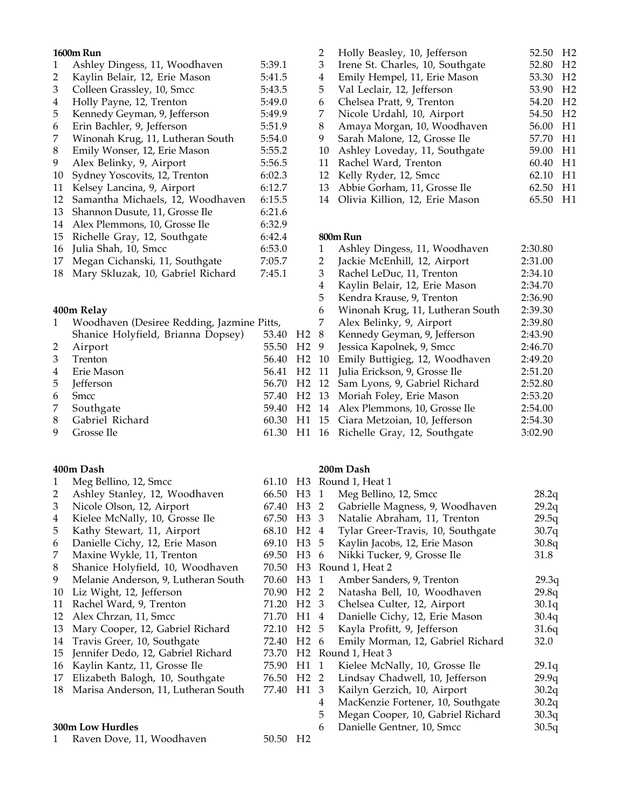### **1600m Run**

| 1  | Ashley Dingess, 11, Woodhaven    | 5:39.1 |
|----|----------------------------------|--------|
| 2  | Kaylin Belair, 12, Erie Mason    | 5:41.5 |
| 3  | Colleen Grassley, 10, Smcc       | 5:43.5 |
| 4  | Holly Payne, 12, Trenton         | 5:49.0 |
| 5  | Kennedy Geyman, 9, Jefferson     | 5:49.9 |
| 6  | Erin Bachler, 9, Jefferson       | 5:51.9 |
| 7  | Winonah Krug, 11, Lutheran South | 5:54.0 |
| 8  | Emily Wonser, 12, Erie Mason     | 5:55.2 |
| 9  | Alex Belinky, 9, Airport         | 5:56.5 |
| 10 | Sydney Yoscovits, 12, Trenton    | 6:02.3 |
| 11 | Kelsey Lancina, 9, Airport       | 6:12.7 |
| 12 | Samantha Michaels, 12, Woodhaven | 6:15.5 |
| 13 | Shannon Dusute, 11, Grosse Ile   | 6:21.6 |
| 14 | Alex Plemmons, 10, Grosse Ile    | 6:32.9 |
| 15 | Richelle Gray, 12, Southgate     | 6:42.4 |
| 16 | Julia Shah, 10, Smcc             | 6:53.0 |
| 17 | Megan Cichanski, 11, Southgate   | 7:05.7 |

18 Mary Skluzak, 10, Gabriel Richard 7:45.1

## **400m Relay**

| 1 Woodhaven (Desiree Redding, Jazmine Pitts, 7 Alex Belinky, 9, Air |  |                                    |
|---------------------------------------------------------------------|--|------------------------------------|
| Shanice Holyfield, Brianna Dopsey) 53.40 H2 8 Kennedy Geyman, 9,    |  |                                    |
| 2 Airport                                                           |  | 55.50 H2 9 Jessica Kapolnek, 9, 9  |
| 3 Trenton                                                           |  | 56.40 H2 10 Emily Buttigieg, 12,   |
| 4 Erie Mason                                                        |  | 56.41 H2 11 Julia Erickson, 9, Gro |
| 5 Jefferson                                                         |  | 56.70 H2 12 Sam Lyons, 9, Gabrie   |
| 6 Smcc                                                              |  | 57.40 H2 13 Moriah Foley, Erie M   |
| 7 Southgate                                                         |  | 59.40 H2 14 Alex Plemmons, 10, C   |
| 8 Gabriel Richard                                                   |  | 60.30 H1 15 Ciara Metzoian, 10, J  |
| 9 Grosse Ile                                                        |  | 61.30 H1 16 Richelle Gray, 12, So  |

## **400m Dash**

| 1  | Meg Bellino, 12, Smcc               | 61.10 |                  |   | H3 Round 1, Heat 1                |       |
|----|-------------------------------------|-------|------------------|---|-----------------------------------|-------|
| 2  | Ashley Stanley, 12, Woodhaven       | 66.50 | H <sub>3</sub> 1 |   | Meg Bellino, 12, Smcc             | 28.2q |
| 3  | Nicole Olson, 12, Airport           | 67.40 | H <sub>3</sub> 2 |   | Gabrielle Magness, 9, Woodhaven   | 29.2q |
| 4  | Kielee McNally, 10, Grosse Ile      | 67.50 | H <sub>3</sub> 3 |   | Natalie Abraham, 11, Trenton      | 29.5q |
| 5  | Kathy Stewart, 11, Airport          | 68.10 | H2 <sub>4</sub>  |   | Tylar Greer-Travis, 10, Southgate | 30.7q |
| 6  | Danielle Cichy, 12, Erie Mason      | 69.10 | H <sub>3</sub> 5 |   | Kaylin Jacobs, 12, Erie Mason     | 30.8q |
| 7  | Maxine Wykle, 11, Trenton           | 69.50 | H <sub>3</sub> 6 |   | Nikki Tucker, 9, Grosse Ile       | 31.8  |
| 8  | Shanice Holyfield, 10, Woodhaven    | 70.50 |                  |   | H3 Round 1, Heat 2                |       |
| 9  | Melanie Anderson, 9, Lutheran South | 70.60 | H <sub>3</sub> 1 |   | Amber Sanders, 9, Trenton         | 29.3q |
| 10 | Liz Wight, 12, Jefferson            | 70.90 | H2 <sub>2</sub>  |   | Natasha Bell, 10, Woodhaven       | 29.8q |
| 11 | Rachel Ward, 9, Trenton             | 71.20 | H2 <sub>3</sub>  |   | Chelsea Culter, 12, Airport       | 30.1q |
| 12 | Alex Chrzan, 11, Smcc               | 71.70 | H1 4             |   | Danielle Cichy, 12, Erie Mason    | 30.4q |
| 13 | Mary Cooper, 12, Gabriel Richard    | 72.10 | H2 5             |   | Kayla Profitt, 9, Jefferson       | 31.6q |
| 14 | Travis Greer, 10, Southgate         | 72.40 | H <sub>2</sub> 6 |   | Emily Morman, 12, Gabriel Richard | 32.0  |
| 15 | Jennifer Dedo, 12, Gabriel Richard  | 73.70 |                  |   | H <sub>2</sub> Round 1, Heat 3    |       |
| 16 | Kaylin Kantz, 11, Grosse Ile        | 75.90 | H1 1             |   | Kielee McNally, 10, Grosse Ile    | 29.1q |
| 17 | Elizabeth Balogh, 10, Southgate     | 76.50 | H <sub>2</sub> 2 |   | Lindsay Chadwell, 10, Jefferson   | 29.9q |
| 18 | Marisa Anderson, 11, Lutheran South | 77.40 | H1 3             |   | Kailyn Gerzich, 10, Airport       | 30.2q |
|    |                                     |       |                  | 4 | MacKenzie Fortener, 10, Southgate | 30.2q |
|    |                                     |       |                  | 5 | Megan Cooper, 10, Gabriel Richard | 30.3q |
|    | 300m Low Hurdles                    |       |                  | 6 | Danielle Gentner, 10, Smcc        | 30.5q |
|    | Raven Dove, 11, Woodhaven           | 50.50 | H2               |   |                                   |       |
|    |                                     |       |                  |   |                                   |       |

| 2  | Holly Beasley, 10, Jefferson     | 52.50 | H <sub>2</sub> |
|----|----------------------------------|-------|----------------|
| 3  | Irene St. Charles, 10, Southgate | 52.80 | H <sub>2</sub> |
| 4  | Emily Hempel, 11, Erie Mason     | 53.30 | H <sub>2</sub> |
| 5  | Val Leclair, 12, Jefferson       | 53.90 | H <sub>2</sub> |
| 6  | Chelsea Pratt, 9, Trenton        | 54.20 | H <sub>2</sub> |
| 7  | Nicole Urdahl, 10, Airport       | 54.50 | H <sub>2</sub> |
| 8  | Amaya Morgan, 10, Woodhaven      | 56.00 | H1             |
| 9  | Sarah Malone, 12, Grosse Ile     | 57.70 | H1             |
| 10 | Ashley Loveday, 11, Southgate    | 59.00 | H1             |
| 11 | Rachel Ward, Trenton             | 60.40 | H1             |
| 12 | Kelly Ryder, 12, Smcc            | 62.10 | H1             |
| 13 | Abbie Gorham, 11, Grosse Ile     | 62.50 | H1             |
| 14 | Olivia Killion, 12, Erie Mason   | 65.50 |                |
|    |                                  |       |                |

## **800m Run**

|      | 1  | Ashley Dingess, 11, Woodhaven    | 2:30.80 |
|------|----|----------------------------------|---------|
|      | 2  | Jackie McEnhill, 12, Airport     | 2:31.00 |
|      | 3  | Rachel LeDuc, 11, Trenton        | 2:34.10 |
|      | 4  | Kaylin Belair, 12, Erie Mason    | 2:34.70 |
|      | 5  | Kendra Krause, 9, Trenton        | 2:36.90 |
|      | 6  | Winonah Krug, 11, Lutheran South | 2:39.30 |
|      | 7  | Alex Belinky, 9, Airport         | 2:39.80 |
| H2.  | 8  | Kennedy Geyman, 9, Jefferson     | 2:43.90 |
| H2   | 9  | Jessica Kapolnek, 9, Smcc        | 2:46.70 |
| H2   | 10 | Emily Buttigieg, 12, Woodhaven   | 2:49.20 |
| H2.  | 11 | Julia Erickson, 9, Grosse Ile    | 2:51.20 |
| H2.  | 12 | Sam Lyons, 9, Gabriel Richard    | 2:52.80 |
| H2.  | 13 | Moriah Foley, Erie Mason         | 2:53.20 |
| H2   | 14 | Alex Plemmons, 10, Grosse Ile    | 2:54.00 |
| -I 1 | 15 | Ciara Metzoian, 10, Jefferson    | 2:54.30 |
| H1   | 16 | Richelle Gray, 12, Southgate     | 3:02.90 |
|      |    |                                  |         |

## **200m Dash**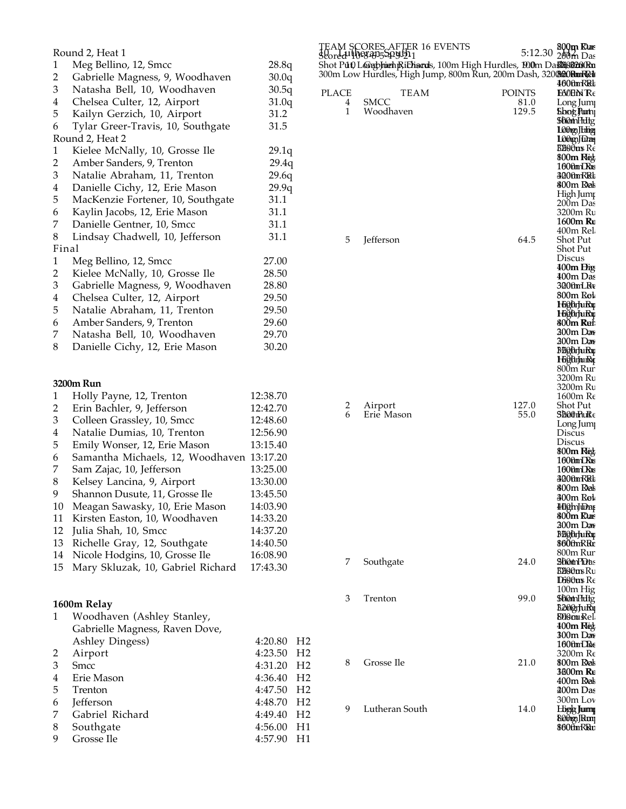|                | Round 2, Heat 1                   |       |
|----------------|-----------------------------------|-------|
| 1              | Meg Bellino, 12, Smcc             | 28.8q |
| $\overline{2}$ | Gabrielle Magness, 9, Woodhaven   | 30.0q |
| 3              | Natasha Bell, 10, Woodhaven       | 30.5q |
| $\overline{4}$ | Chelsea Culter, 12, Airport       | 31.0q |
| 5              | Kailyn Gerzich, 10, Airport       | 31.2  |
| 6              | Tylar Greer-Travis, 10, Southgate | 31.5  |
|                | Round 2, Heat 2                   |       |
| 1              | Kielee McNally, 10, Grosse Ile    | 29.1q |
| 2              | Amber Sanders, 9, Trenton         | 29.4q |
| 3              | Natalie Abraham, 11, Trenton      | 29.6q |
| 4              | Danielle Cichy, 12, Erie Mason    | 29.9q |
| 5              | MacKenzie Fortener, 10, Southgate | 31.1  |
| 6              | Kaylin Jacobs, 12, Erie Mason     | 31.1  |
| 7              | Danielle Gentner, 10, Smcc        | 31.1  |
| 8              | Lindsay Chadwell, 10, Jefferson   | 31.1  |
| Final          |                                   |       |
| 1              | Meg Bellino, 12, Smcc             | 27.00 |
| 2              | Kielee McNally, 10, Grosse Ile    | 28.50 |
| 3              | Gabrielle Magness, 9, Woodhaven   | 28.80 |
| $\overline{4}$ | Chelsea Culter, 12, Airport       | 29.50 |
| 5              | Natalie Abraham, 11, Trenton      | 29.50 |
| 6              | Amber Sanders, 9, Trenton         | 29.60 |
| 7              | Natasha Bell, 10, Woodhaven       | 29.70 |
| 8              | Danielle Cichy, 12, Erie Mason    | 30.20 |
|                |                                   |       |
|                |                                   |       |

## **3200m Run**

| 1  | Holly Payne, 12, Trenton          | 12:38.70 |
|----|-----------------------------------|----------|
| 2  | Erin Bachler, 9, Jefferson        | 12:42.70 |
| 3  | Colleen Grassley, 10, Smcc        | 12:48.60 |
| 4  | Natalie Dumias, 10, Trenton       | 12:56.90 |
| 5  | Emily Wonser, 12, Erie Mason      | 13:15.40 |
| 6  | Samantha Michaels, 12, Woodhaven  | 13:17.20 |
| 7  | Sam Zajac, 10, Jefferson          | 13:25.00 |
| 8  | Kelsey Lancina, 9, Airport        | 13:30.00 |
| 9  | Shannon Dusute, 11, Grosse Ile    | 13:45.50 |
| 10 | Meagan Sawasky, 10, Erie Mason    | 14:03.90 |
| 11 | Kirsten Easton, 10, Woodhaven     | 14:33.20 |
| 12 | Julia Shah, 10, Smcc              | 14:37.20 |
| 13 | Richelle Gray, 12, Southgate      | 14:40.50 |
| 14 | Nicole Hodgins, 10, Grosse Ile    | 16:08.90 |
| 15 | Mary Skluzak, 10, Gabriel Richard | 17:43.30 |
|    |                                   |          |
|    |                                   |          |

|   | 1600m Relay                    |                          |                |
|---|--------------------------------|--------------------------|----------------|
| 1 | Woodhaven (Ashley Stanley,     |                          |                |
|   | Gabrielle Magness, Raven Dove, |                          |                |
|   | Ashley Dingess)                | 4:20.80                  | H <sub>2</sub> |
| 2 | Airport                        | $4:23.50$ H <sub>2</sub> |                |
| 3 | <b>Smcc</b>                    | 4:31.20                  | H <sub>2</sub> |
| 4 | Erie Mason                     | 4:36.40                  | H <sub>2</sub> |
| 5 | Trenton                        | 4:47.50                  | H2             |
| 6 | Jefferson                      | 4:48.70                  | H <sub>2</sub> |
| 7 | Gabriel Richard                | 4:49.40                  | H <sub>2</sub> |
| 8 | Southgate                      | 4:56.00                  | H1             |
| 9 | Grosse Ile                     | 4:57.90                  | - H1           |
|   |                                |                          |                |

|        |                                                                                                                                                      | 5:12.30       | 800m Rum<br>200 <sub>m</sub> Das        |
|--------|------------------------------------------------------------------------------------------------------------------------------------------------------|---------------|-----------------------------------------|
|        | TEAM SCORES AFTER 16 EVENTS<br>Scored 10983955494521<br>Shot P <b>út) L@apharhjRiEhard</b> s, 100m High Hurdles, 190 <b>0</b> m Da <b>sMiS826kRn</b> |               |                                         |
|        | 300m Low Hurdles, High Jump, 800m Run, 200m Dash, 320 <b>®20RmRei</b>                                                                                |               | 4000mRRk                                |
| PLACE  | TEAM                                                                                                                                                 | <b>POINTS</b> | <b>E60EN Re</b>                         |
| 4      | SMCC                                                                                                                                                 | 81.0          | Long Jum                                |
| 1      | Woodhaven                                                                                                                                            | 129.5         | <b>Shog Purn</b><br><b>SDOthFHitg</b>   |
|        |                                                                                                                                                      |               | 1.000mgq J Ethiop                       |
|        |                                                                                                                                                      |               | 1.00 top Julian                         |
|        |                                                                                                                                                      |               | <b>ВИООит</b> Re<br>800m Heg            |
|        |                                                                                                                                                      |               | 160thmD&ts                              |
|        |                                                                                                                                                      |               | 300tmRRt<br>800m Rai                    |
|        |                                                                                                                                                      |               | High Jum                                |
|        |                                                                                                                                                      |               | 200m Das                                |
|        |                                                                                                                                                      |               | 3200m Ru<br>1600m Re                    |
|        |                                                                                                                                                      |               | 400m Rel                                |
| 5      | lefferson                                                                                                                                            | 64.5          | Shot Put                                |
|        |                                                                                                                                                      |               | Shot Put<br>Discus                      |
|        |                                                                                                                                                      |               | 400m Đig                                |
|        |                                                                                                                                                      |               | 400m Das<br>300fmLRv                    |
|        |                                                                                                                                                      |               | 800m Ret                                |
|        |                                                                                                                                                      |               | HighriuRu                               |
|        |                                                                                                                                                      |               | <b>HighrhuRu</b><br>800m Rut            |
|        |                                                                                                                                                      |               | 200m Dan                                |
|        |                                                                                                                                                      |               | 200m Dan<br><b>BEQOrJuRu</b>            |
|        |                                                                                                                                                      |               | <b>Highnulot</b>                        |
|        |                                                                                                                                                      |               | 800m Rur                                |
|        |                                                                                                                                                      |               | 3200m Ru<br>3200m Ru                    |
|        |                                                                                                                                                      |               | 1600m Re                                |
| 2<br>6 | Airport                                                                                                                                              | 127.0<br>55.0 | Shot Put                                |
|        | Erie Mason                                                                                                                                           |               | <b>SBOOMNURE</b><br>Long Jum            |
|        |                                                                                                                                                      |               | Discus                                  |
|        |                                                                                                                                                      |               | Discus<br>800m Rég                      |
|        |                                                                                                                                                      |               | 1000mDRus                               |
|        |                                                                                                                                                      |               | 1000mDRus<br>4000mRRL                   |
|        |                                                                                                                                                      |               | 800m Rat                                |
|        |                                                                                                                                                      |               | 300m Ret                                |
|        |                                                                                                                                                      |               | <b>Hüğh]waş</b><br>800m Rux             |
|        |                                                                                                                                                      |               | 200m Dax                                |
|        |                                                                                                                                                      |               | BEQOrJuRu<br>8600mRRr                   |
|        |                                                                                                                                                      |               | 800m Rur                                |
| 7      | Southgate                                                                                                                                            | 24.0          | <b>ShotnPidt</b> s                      |
|        |                                                                                                                                                      |               | <b>B2i00ms R</b> u<br><b>D600ns</b> Re  |
|        |                                                                                                                                                      |               | 100m Hig                                |
| 3      | Trenton                                                                                                                                              | 99.0          | <b>SG@thFtttg</b>                       |
|        |                                                                                                                                                      |               | B200gfuRr<br><b>Bilom</b> Rel           |
|        |                                                                                                                                                      |               | 400m Reg                                |
|        |                                                                                                                                                      |               | 300m Dan<br>1000mDR                     |
|        |                                                                                                                                                      |               | 3200m Re                                |
| 8      | Grosse Ile                                                                                                                                           | 21.0          | 800m Rał                                |
|        |                                                                                                                                                      |               | 3000m Re<br>400m Rai                    |
|        |                                                                                                                                                      |               | 200m Das                                |
|        |                                                                                                                                                      |               | 300m Lov                                |
| 9      | Lutheran South                                                                                                                                       | 14.0          | <b>High Jumy</b><br><b>BOOTEL RIVER</b> |
|        |                                                                                                                                                      |               | 800mRRr                                 |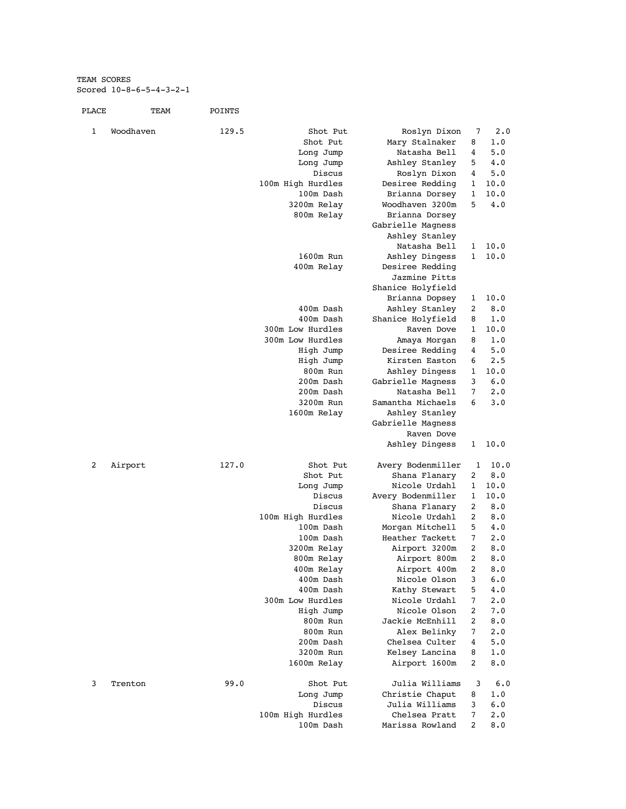TEAM SCORES Scored 10-8-6-5-4-3-2-1

| PLACE | TEAM      | POINTS |                          |                                     |                |            |
|-------|-----------|--------|--------------------------|-------------------------------------|----------------|------------|
| 1     | Woodhaven | 129.5  | Shot Put                 | Roslyn Dixon                        | 7              | 2.0        |
|       |           |        | Shot Put                 | Mary Stalnaker                      | 8              | 1.0        |
|       |           |        | Long Jump                | Natasha Bell                        | 4              | 5.0        |
|       |           |        | Long Jump                | Ashley Stanley                      | 5              | 4.0        |
|       |           |        | Discus                   | Roslyn Dixon                        | 4              | 5.0        |
|       |           |        | 100m High Hurdles        | Desiree Redding                     | 1              | 10.0       |
|       |           |        | 100m Dash                | Brianna Dorsey                      | 1              | 10.0       |
|       |           |        | 3200m Relay              | Woodhaven 3200m                     | 5              | 4.0        |
|       |           |        | 800m Relay               | Brianna Dorsey                      |                |            |
|       |           |        |                          | Gabrielle Magness<br>Ashley Stanley |                |            |
|       |           |        |                          | Natasha Bell                        | 1              | 10.0       |
|       |           |        | 1600m Run                | Ashley Dingess                      | 1              | 10.0       |
|       |           |        | 400m Relay               | Desiree Redding                     |                |            |
|       |           |        |                          | Jazmine Pitts                       |                |            |
|       |           |        |                          | Shanice Holyfield                   |                |            |
|       |           |        |                          | Brianna Dopsey                      | 1              | 10.0       |
|       |           |        | 400m Dash                | Ashley Stanley                      | 2              | 8.0        |
|       |           |        | 400m Dash                | Shanice Holyfield                   | 8              | 1.0        |
|       |           |        | 300m Low Hurdles         | Raven Dove                          | 1              | 10.0       |
|       |           |        | 300m Low Hurdles         | Amaya Morgan                        | 8              | 1.0        |
|       |           |        | High Jump                | Desiree Redding                     | 4              | 5.0        |
|       |           |        | High Jump                | Kirsten Easton                      | 6              | 2.5        |
|       |           |        | 800m Run                 | Ashley Dingess                      | 1              | 10.0       |
|       |           |        | 200m Dash                | Gabrielle Magness                   | 3              | 6.0        |
|       |           |        | 200m Dash                | Natasha Bell                        | 7              | 2.0        |
|       |           |        | 3200m Run                | Samantha Michaels                   | 6              | 3.0        |
|       |           |        | 1600m Relay              | Ashley Stanley                      |                |            |
|       |           |        |                          | Gabrielle Magness                   |                |            |
|       |           |        |                          | Raven Dove                          |                |            |
|       |           |        |                          | Ashley Dingess                      | 1              | 10.0       |
| 2     | Airport   | 127.0  | Shot Put                 | Avery Bodenmiller                   | 1              | 10.0       |
|       |           |        | Shot Put                 | Shana Flanary                       | 2              | 8.0        |
|       |           |        | Long Jump                | Nicole Urdahl                       | 1              | 10.0       |
|       |           |        | Discus                   | Avery Bodenmiller                   | 1              | 10.0       |
|       |           |        | Discus                   | Shana Flanary                       | 2              | 8.0        |
|       |           |        | 100m High Hurdles        | Nicole Urdahl                       | 2              | 8.0        |
|       |           |        | 100m Dash                | Morgan Mitchell                     | 5              | 4.0        |
|       |           |        | 100m Dash                | Heather Tackett                     | 7<br>2         | 2.0<br>8.0 |
|       |           |        | 3200m Relay              | Airport 3200m                       | 2              |            |
|       |           |        | 800m Relay<br>400m Relay | Airport 800m<br>Airport 400m        | 2              | 8.0<br>8.0 |
|       |           |        | 400m Dash                | Nicole Olson                        | 3              | 6.0        |
|       |           |        | 400m Dash                | Kathy Stewart                       | 5              | 4.0        |
|       |           |        | 300m Low Hurdles         | Nicole Urdahl                       | 7              | 2.0        |
|       |           |        | High Jump                | Nicole Olson                        | 2              | 7.0        |
|       |           |        | 800m Run                 | Jackie McEnhill                     | 2              | 8.0        |
|       |           |        | 800m Run                 | Alex Belinky                        | 7              | 2.0        |
|       |           |        | 200m Dash                | Chelsea Culter                      | 4              | 5.0        |
|       |           |        | 3200m Run                | Kelsey Lancina                      | 8              | 1.0        |
|       |           |        | 1600m Relay              | Airport 1600m                       | 2              | 8.0        |
| 3     | Trenton   | 99.0   | Shot Put                 | Julia Williams                      | 3              | 6.0        |
|       |           |        | Long Jump                | Christie Chaput                     | 8              | 1.0        |
|       |           |        | Discus                   | Julia Williams                      | 3              | 6.0        |
|       |           |        | 100m High Hurdles        | Chelsea Pratt                       | 7              | 2.0        |
|       |           |        | 100m Dash                | Marissa Rowland                     | $\overline{c}$ | 8.0        |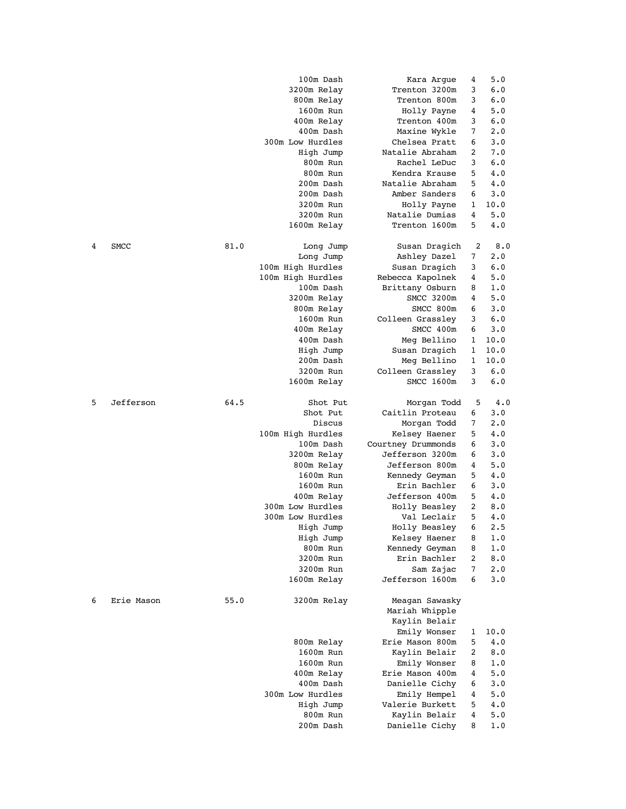|   |             |      | 100m Dash             | Kara Argue                     | 4      | 5.0        |
|---|-------------|------|-----------------------|--------------------------------|--------|------------|
|   |             |      | 3200m Relay           | Trenton 3200m                  | 3      | 6.0        |
|   |             |      | 800m Relay            | Trenton 800m                   | 3      | 6.0        |
|   |             |      | 1600m Run             | Holly Payne                    | 4      | 5.0        |
|   |             |      | 400m Relay            | Trenton 400m                   | 3      | 6.0        |
|   |             |      | 400m Dash             | Maxine Wykle                   | 7      | 2.0        |
|   |             |      | 300m Low Hurdles      | Chelsea Pratt                  | 6      | 3.0        |
|   |             |      | High Jump             | Natalie Abraham                | 2      | 7.0        |
|   |             |      | 800m Run              | Rachel LeDuc                   | 3      | 6.0        |
|   |             |      | 800m Run              | Kendra Krause                  | 5      | 4.0        |
|   |             |      | 200m Dash             | Natalie Abraham                | 5      | 4.0        |
|   |             |      | 200m Dash             | Amber Sanders                  | 6      | 3.0        |
|   |             |      | 3200m Run             | Holly Payne                    | 1      | 10.0       |
|   |             |      | 3200m Run             | Natalie Dumias                 | 4      | 5.0        |
|   |             |      | 1600m Relay           | Trenton 1600m                  | 5      | 4.0        |
| 4 | <b>SMCC</b> | 81.0 | Long Jump             | Susan Dragich                  | 2      | 8.0        |
|   |             |      | Long Jump             | Ashley Dazel                   | 7      | 2.0        |
|   |             |      | 100m High Hurdles     | Susan Dragich                  | 3      | 6.0        |
|   |             |      | 100m High Hurdles     | Rebecca Kapolnek               | 4      | 5.0        |
|   |             |      | 100m Dash             | Brittany Osburn                | 8      | 1.0        |
|   |             |      | 3200m Relay           | SMCC 3200m                     | 4      | 5.0        |
|   |             |      | 800m Relay            | SMCC 800m                      | 6      | 3.0        |
|   |             |      | 1600m Run             | Colleen Grassley               | 3      | 6.0        |
|   |             |      | 400m Relay            | SMCC 400m                      | 6      | 3.0        |
|   |             |      | 400m Dash             | Meg Bellino                    | 1      | 10.0       |
|   |             |      | High Jump             | Susan Dragich                  | 1      | 10.0       |
|   |             |      | 200m Dash             | Meg Bellino                    | 1      | 10.0       |
|   |             |      | 3200m Run             | Colleen Grassley               | 3      | 6.0        |
|   |             |      | 1600m Relay           | SMCC 1600m                     | 3      | 6.0        |
| 5 | Jefferson   | 64.5 | Shot Put              | Morgan Todd                    | 5      | 4.0        |
|   |             |      | Shot Put              | Caitlin Proteau                | 6      | 3.0        |
|   |             |      | Discus                | Morgan Todd                    | 7      | 2.0        |
|   |             |      | 100m High Hurdles     | Kelsey Haener                  | 5      | 4.0        |
|   |             |      | 100m Dash             | Courtney Drummonds             | 6      | 3.0        |
|   |             |      | 3200m Relay           | Jefferson 3200m                | 6      | 3.0        |
|   |             |      | 800m Relay            | Jefferson 800m                 | 4      | 5.0        |
|   |             |      | 1600m Run             | Kennedy Geyman                 | 5      | 4.0        |
|   |             |      | 1600m Run             | Erin Bachler                   | 6      | 3.0        |
|   |             |      | 400m Relay            | Jefferson 400m                 | 5      | 4.0        |
|   |             |      | 300m Low Hurdles      | Holly Beasley                  | 2      | 8.0        |
|   |             |      | 300m Low Hurdles      | Val Leclair                    | 5<br>6 | 4.0        |
|   |             |      | High Jump             | Holly Beasley<br>Kelsey Haener |        | 2.5        |
|   |             |      | High Jump             |                                | 8      | 1.0        |
|   |             |      | 800m Run<br>3200m Run | Kennedy Geyman<br>Erin Bachler | 8<br>2 | 1.0<br>8.0 |
|   |             |      | 3200m Run             | Sam Zajac                      | 7      | 2.0        |
|   |             |      | 1600m Relay           | Jefferson 1600m                | 6      | 3.0        |
| 6 | Erie Mason  | 55.0 | 3200m Relay           | Meagan Sawasky                 |        |            |
|   |             |      |                       | Mariah Whipple                 |        |            |
|   |             |      |                       | Kaylin Belair                  |        |            |
|   |             |      |                       | Emily Wonser                   | 1      | 10.0       |
|   |             |      | 800m Relay            | Erie Mason 800m                | 5      | 4.0        |
|   |             |      | 1600m Run             | Kaylin Belair                  | 2      | 8.0        |
|   |             |      | 1600m Run             | Emily Wonser                   | 8      | 1.0        |
|   |             |      | 400m Relay            | Erie Mason 400m                | 4      | 5.0        |
|   |             |      | 400m Dash             | Danielle Cichy                 | 6      | 3.0        |
|   |             |      | 300m Low Hurdles      | Emily Hempel                   | 4      | 5.0        |
|   |             |      | High Jump             | Valerie Burkett                | 5      | 4.0        |
|   |             |      | 800m Run              | Kaylin Belair                  | 4      | 5.0        |
|   |             |      | 200m Dash             | Danielle Cichy                 | 8      | 1.0        |
|   |             |      |                       |                                |        |            |